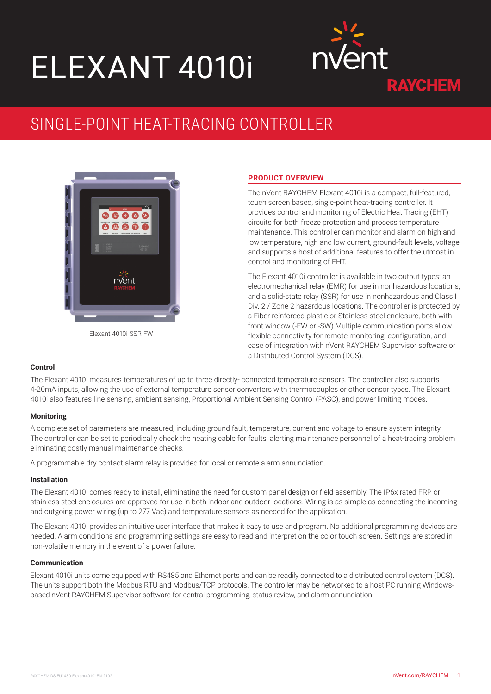# ELEXANT 4010i



## SINGLE-POINT HEAT-TRACING CONTROLLER



Elexant 4010i-SSR-FW

#### **PRODUCT OVERVIEW**

The nVent RAYCHEM Elexant 4010i is a compact, full-featured, touch screen based, single-point heat-tracing controller. It provides control and monitoring of Electric Heat Tracing (EHT) circuits for both freeze protection and process temperature maintenance. This controller can monitor and alarm on high and low temperature, high and low current, ground-fault levels, voltage, and supports a host of additional features to offer the utmost in control and monitoring of EHT.

The Elexant 4010i controller is available in two output types: an electromechanical relay (EMR) for use in nonhazardous locations, and a solid-state relay (SSR) for use in nonhazardous and Class I Div. 2 / Zone 2 hazardous locations. The controller is protected by a Fiber reinforced plastic or Stainless steel enclosure, both with front window (-FW or -SW).Multiple communication ports allow flexible connectivity for remote monitoring, configuration, and ease of integration with nVent RAYCHEM Supervisor software or a Distributed Control System (DCS).

#### **Control**

The Elexant 4010i measures temperatures of up to three directly- connected temperature sensors. The controller also supports 4-20mA inputs, allowing the use of external temperature sensor converters with thermocouples or other sensor types. The Elexant 4010i also features line sensing, ambient sensing, Proportional Ambient Sensing Control (PASC), and power limiting modes.

#### **Monitoring**

A complete set of parameters are measured, including ground fault, temperature, current and voltage to ensure system integrity. The controller can be set to periodically check the heating cable for faults, alerting maintenance personnel of a heat-tracing problem eliminating costly manual maintenance checks.

A programmable dry contact alarm relay is provided for local or remote alarm annunciation.

#### **Installation**

The Elexant 4010i comes ready to install, eliminating the need for custom panel design or field assembly. The IP6x rated FRP or stainless steel enclosures are approved for use in both indoor and outdoor locations. Wiring is as simple as connecting the incoming and outgoing power wiring (up to 277 Vac) and temperature sensors as needed for the application.

The Elexant 4010i provides an intuitive user interface that makes it easy to use and program. No additional programming devices are needed. Alarm conditions and programming settings are easy to read and interpret on the color touch screen. Settings are stored in non-volatile memory in the event of a power failure.

#### **Communication**

Elexant 4010i units come equipped with RS485 and Ethernet ports and can be readily connected to a distributed control system (DCS). The units support both the Modbus RTU and Modbus/TCP protocols. The controller may be networked to a host PC running Windowsbased nVent RAYCHEM Supervisor software for central programming, status review, and alarm annunciation.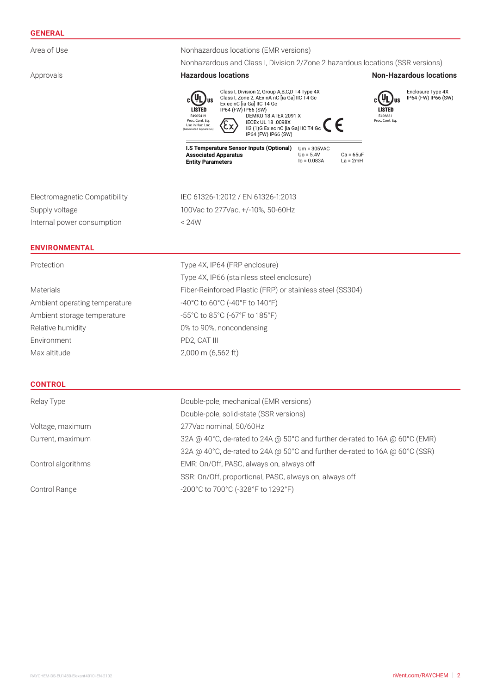#### **GENERAL**

| Area of Use                   | Nonhazardous locations (EMR versions)                                                                                                                                                                                                                                                                                                                                                                                                                    |  |  |  |
|-------------------------------|----------------------------------------------------------------------------------------------------------------------------------------------------------------------------------------------------------------------------------------------------------------------------------------------------------------------------------------------------------------------------------------------------------------------------------------------------------|--|--|--|
|                               | Nonhazardous and Class I, Division 2/Zone 2 hazardous locations (SSR versions)                                                                                                                                                                                                                                                                                                                                                                           |  |  |  |
| Approvals                     | <b>Hazardous locations</b><br><b>Non-Hazardous locations</b>                                                                                                                                                                                                                                                                                                                                                                                             |  |  |  |
|                               | Class I, Division 2, Group A,B,C,D T4 Type 4X<br>Enclosure Type 4X<br>IP64 (FW) IP66 (SW)<br>Class I, Zone 2, AEx nA nC [ia Ga] IIC T4 Gc<br>Ex ec nC [ia Ga] IIC T4 Gc<br>LISTED<br>IP64 (FW) IP66 (SW)<br><b>LISTED</b><br>E4905419<br><b>DEMKO 18 ATEX 2091 X</b><br>E498881<br>Proc. Cont. Eq.<br>Proc. Cont. Eq.<br>IECEx UL 18 .0098X<br>II3 (1) G Ex ec nC [ia Ga] IIC T4 Gc<br>Use in Haz. Loc.<br>(Associated Apparatus)<br>IP64 (FW) IP66 (SW) |  |  |  |
|                               | I.S Temperature Sensor Inputs (Optional)<br>$Um = 305VAC$<br><b>Associated Apparatus</b><br>$U_0 = 5.4V$<br>$Ca = 65uF$<br>$I_0 = 0.083A$<br>$La = 2mH$<br><b>Entity Parameters</b>                                                                                                                                                                                                                                                                      |  |  |  |
| Electromagnetic Compatibility | IEC 61326-1:2012 / EN 61326-1:2013                                                                                                                                                                                                                                                                                                                                                                                                                       |  |  |  |
| Supply voltage                | 100Vac to 277Vac, +/-10%, 50-60Hz                                                                                                                                                                                                                                                                                                                                                                                                                        |  |  |  |
| Internal power consumption    | < 24W                                                                                                                                                                                                                                                                                                                                                                                                                                                    |  |  |  |
| <b>ENVIRONMENTAL</b>          |                                                                                                                                                                                                                                                                                                                                                                                                                                                          |  |  |  |
| Protection                    | Type 4X, IP64 (FRP enclosure)                                                                                                                                                                                                                                                                                                                                                                                                                            |  |  |  |
|                               | Type 4X, IP66 (stainless steel enclosure)                                                                                                                                                                                                                                                                                                                                                                                                                |  |  |  |
| <b>Materials</b>              | Fiber-Reinforced Plastic (FRP) or stainless steel (SS304)                                                                                                                                                                                                                                                                                                                                                                                                |  |  |  |
| Ambient operating temperature | -40°C to 60°C (-40°F to 140°F)                                                                                                                                                                                                                                                                                                                                                                                                                           |  |  |  |
| Ambient storage temperature   | -55°C to 85°C (-67°F to 185°F)                                                                                                                                                                                                                                                                                                                                                                                                                           |  |  |  |
| Relative humidity             | 0% to 90%, noncondensing                                                                                                                                                                                                                                                                                                                                                                                                                                 |  |  |  |
| Environment                   | PD2, CAT III                                                                                                                                                                                                                                                                                                                                                                                                                                             |  |  |  |
| Max altitude                  | 2,000 m (6,562 ft)                                                                                                                                                                                                                                                                                                                                                                                                                                       |  |  |  |
| <b>CONTROL</b>                |                                                                                                                                                                                                                                                                                                                                                                                                                                                          |  |  |  |
| Relay Type                    | Double-pole, mechanical (EMR versions)                                                                                                                                                                                                                                                                                                                                                                                                                   |  |  |  |
|                               | Double-pole, solid-state (SSR versions)                                                                                                                                                                                                                                                                                                                                                                                                                  |  |  |  |
| Voltage, maximum              | 277Vac nominal, 50/60Hz                                                                                                                                                                                                                                                                                                                                                                                                                                  |  |  |  |
| Current, maximum              | 32A @ 40°C, de-rated to 24A @ 50°C and further de-rated to 16A @ 60°C (EMR)                                                                                                                                                                                                                                                                                                                                                                              |  |  |  |
|                               | 32A @ 40°C, de-rated to 24A @ 50°C and further de-rated to 16A @ 60°C (SSR)                                                                                                                                                                                                                                                                                                                                                                              |  |  |  |
| Control algorithms            | EMR: On/Off, PASC, always on, always off                                                                                                                                                                                                                                                                                                                                                                                                                 |  |  |  |
|                               | SSR: On/Off, proportional, PASC, always on, always off                                                                                                                                                                                                                                                                                                                                                                                                   |  |  |  |

Control Range  $-200^{\circ}$ C to 700°C (-328°F to 1292°F)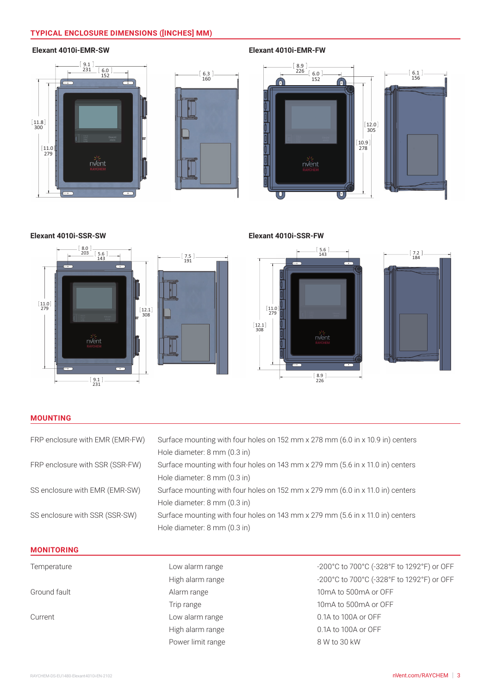### **TYPICAL ENCLOSURE DIMENSIONS ([INCHES] MM)**

#### **Elexant 4010i-EMR-SW**





**Elexant 4010i-EMR-FW**



**Elexant 4010i-SSR-SW**



**Elexant 4010i-SSR-FW**



#### **MOUNTING**

| FRP enclosure with EMR (EMR-FW) | Surface mounting with four holes on 152 mm x 278 mm (6.0 in x 10.9 in) centers |
|---------------------------------|--------------------------------------------------------------------------------|
|                                 | Hole diameter: 8 mm (0.3 in)                                                   |
| FRP enclosure with SSR (SSR-FW) | Surface mounting with four holes on 143 mm x 279 mm (5.6 in x 11.0 in) centers |
|                                 | Hole diameter: 8 mm (0.3 in)                                                   |
| SS enclosure with EMR (EMR-SW)  | Surface mounting with four holes on 152 mm x 279 mm (6.0 in x 11.0 in) centers |
|                                 | Hole diameter: 8 mm (0.3 in)                                                   |
| SS enclosure with SSR (SSR-SW)  | Surface mounting with four holes on 143 mm x 279 mm (5.6 in x 11.0 in) centers |
|                                 | Hole diameter: 8 mm (0.3 in)                                                   |
|                                 |                                                                                |
| <b>MANUTABINA</b>               |                                                                                |

#### **MONITORING**

| Temperature  |  |
|--------------|--|
| Ground fault |  |
| Current      |  |
|              |  |

Power limit range 8 W to 30 kW

Low alarm range  $-200^{\circ}$ C to 700°C (-328°F to 1292°F) or OFF High alarm range  $-200^{\circ}$ C to 700°C (-328°F to 1292°F) or OFF Alarm range 10mA to 500mA or OFF Trip range 10mA to 500mA or OFF Low alarm range 1.1 Current Low alarm range High alarm range 1000 and 1000 and 1000 and 1000 and 1000 and 1000 and 1000 and 1000 and 1000 and 1000 and 100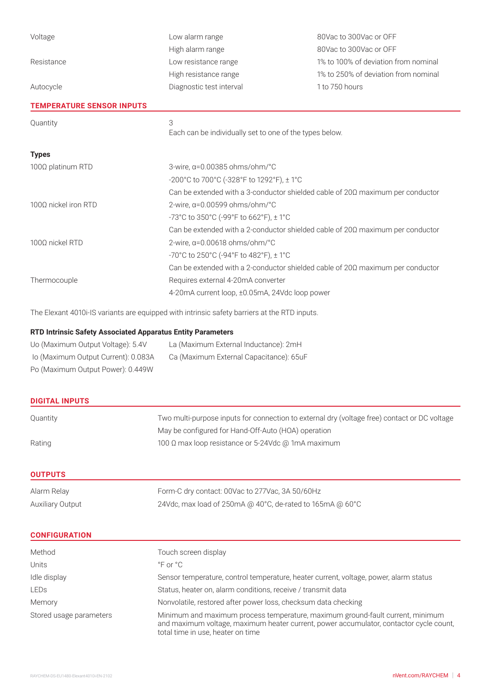| Voltage                                                    | Low alarm range                                                                       | 80Vac to 300Vac or OFF               |  |
|------------------------------------------------------------|---------------------------------------------------------------------------------------|--------------------------------------|--|
|                                                            | High alarm range                                                                      | 80Vac to 300Vac or OFF               |  |
| Resistance                                                 | Low resistance range                                                                  | 1% to 100% of deviation from nominal |  |
|                                                            | High resistance range                                                                 | 1% to 250% of deviation from nominal |  |
| Autocycle                                                  | Diagnostic test interval                                                              | 1 to 750 hours                       |  |
| <b>TEMPERATURE SENSOR INPUTS</b>                           |                                                                                       |                                      |  |
| Quantity                                                   | 3                                                                                     |                                      |  |
|                                                            | Each can be individually set to one of the types below.                               |                                      |  |
| <b>Types</b>                                               |                                                                                       |                                      |  |
| 3-wire, $\alpha$ =0.00385 ohms/ohm/°C<br>100Ω platinum RTD |                                                                                       |                                      |  |
|                                                            | -200°C to 700°C (-328°F to 1292°F), ± 1°C                                             |                                      |  |
|                                                            | Can be extended with a 3-conductor shielded cable of $20\Omega$ maximum per conductor |                                      |  |
| 1000 nickel iron RTD                                       | 2-wire, $\alpha$ =0.00599 ohms/ohm/°C                                                 |                                      |  |
|                                                            | -73°C to 350°C (-99°F to 662°F), ± 1°C                                                |                                      |  |
|                                                            | Can be extended with a 2-conductor shielded cable of $20\Omega$ maximum per conductor |                                      |  |
| 1000 nickel RTD<br>2-wire, α=0.00618 ohms/ohm/°C           |                                                                                       |                                      |  |
|                                                            | -70°C to 250°C (-94°F to 482°F), ± 1°C                                                |                                      |  |
|                                                            | Can be extended with a 2-conductor shielded cable of $20\Omega$ maximum per conductor |                                      |  |
| Thermocouple                                               | Requires external 4-20mA converter                                                    |                                      |  |
|                                                            | 4-20mA current loop, ±0.05mA, 24Vdc loop power                                        |                                      |  |

The Elexant 4010i-IS variants are equipped with intrinsic safety barriers at the RTD inputs.

#### **RTD Intrinsic Safety Associated Apparatus Entity Parameters**

| Uo (Maximum Output Voltage): 5.4V   | La (Maximum External Inductance): 2mH   |
|-------------------------------------|-----------------------------------------|
| lo (Maximum Output Current): 0.083A | Ca (Maximum External Capacitance): 65uF |
| Po (Maximum Output Power): 0.449W   |                                         |

|  | <b>DIGITAL INPUTS</b> |  |  |
|--|-----------------------|--|--|
|  |                       |  |  |
|  |                       |  |  |

| Quantity | Two multi-purpose inputs for connection to external dry (voltage free) contact or DC voltage |
|----------|----------------------------------------------------------------------------------------------|
|          | May be configured for Hand-Off-Auto (HOA) operation                                          |
| Rating   | 100 Ω max loop resistance or 5-24Vdc @ 1mA maximum                                           |

**OUTPUTS**

| Alarm Relay      | Form-C dry contact: 00Vac to 277Vac, 3A 50/60Hz                                 |
|------------------|---------------------------------------------------------------------------------|
| Auxiliary Output | 24Vdc, max load of 250mA @ 40 $^{\circ}$ C, de-rated to 165mA @ 60 $^{\circ}$ C |

| <b>CONFIGURATION</b> |  |  |  |
|----------------------|--|--|--|
|                      |  |  |  |

| Method                  | Touch screen display                                                                                                                                                                                          |
|-------------------------|---------------------------------------------------------------------------------------------------------------------------------------------------------------------------------------------------------------|
| Units                   | $^{\circ}$ F or $^{\circ}$ C                                                                                                                                                                                  |
| Idle display            | Sensor temperature, control temperature, heater current, voltage, power, alarm status                                                                                                                         |
| <b>LEDs</b>             | Status, heater on, alarm conditions, receive / transmit data                                                                                                                                                  |
| Memory                  | Nonvolatile, restored after power loss, checksum data checking                                                                                                                                                |
| Stored usage parameters | Minimum and maximum process temperature, maximum ground-fault current, minimum<br>and maximum voltage, maximum heater current, power accumulator, contactor cycle count,<br>total time in use, heater on time |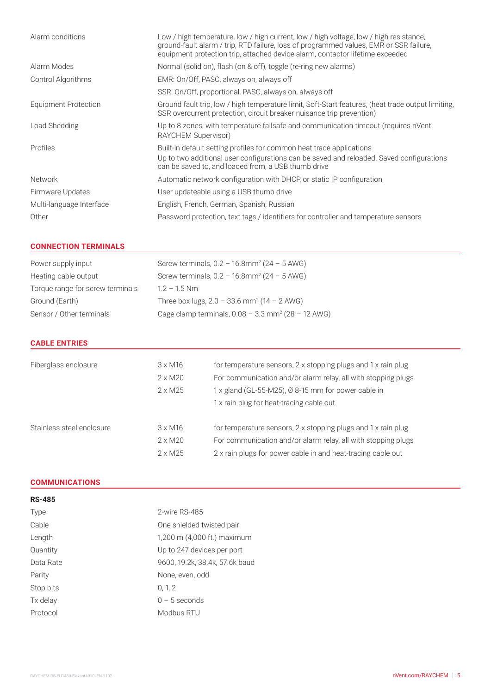| Low / high temperature, low / high current, low / high voltage, low / high resistance,<br>ground-fault alarm / trip, RTD failure, loss of programmed values, EMR or SSR failure,<br>equipment protection trip, attached device alarm, contactor lifetime exceeded |
|-------------------------------------------------------------------------------------------------------------------------------------------------------------------------------------------------------------------------------------------------------------------|
| Normal (solid on), flash (on & off), toggle (re-ring new alarms)                                                                                                                                                                                                  |
| EMR: On/Off, PASC, always on, always off                                                                                                                                                                                                                          |
| SSR: On/Off, proportional, PASC, always on, always off                                                                                                                                                                                                            |
| Ground fault trip, low / high temperature limit, Soft-Start features, (heat trace output limiting,<br>SSR overcurrent protection, circuit breaker nuisance trip prevention)                                                                                       |
| Up to 8 zones, with temperature failsafe and communication timeout (requires nVent<br>RAYCHEM Supervisor)                                                                                                                                                         |
| Built-in default setting profiles for common heat trace applications<br>Up to two additional user configurations can be saved and reloaded. Saved configurations<br>can be saved to, and loaded from, a USB thumb drive                                           |
| Automatic network configuration with DHCP, or static IP configuration                                                                                                                                                                                             |
| User updateable using a USB thumb drive                                                                                                                                                                                                                           |
| English, French, German, Spanish, Russian                                                                                                                                                                                                                         |
| Password protection, text tags / identifiers for controller and temperature sensors                                                                                                                                                                               |
|                                                                                                                                                                                                                                                                   |

#### **CONNECTION TERMINALS**

| Power supply input               | Screw terminals, $0.2 - 16.8$ mm <sup>2</sup> ( $24 - 5$ AWG)    |
|----------------------------------|------------------------------------------------------------------|
| Heating cable output             | Screw terminals, $0.2 - 16.8$ mm <sup>2</sup> (24 - 5 AWG)       |
| Torque range for screw terminals | $1.2 - 1.5$ Nm                                                   |
| Ground (Earth)                   | Three box lugs, $2.0 - 33.6$ mm <sup>2</sup> (14 - 2 AWG)        |
| Sensor / Other terminals         | Cage clamp terminals, $0.08 - 3.3$ mm <sup>2</sup> (28 - 12 AWG) |

#### **CABLE ENTRIES**

| Fiberglass enclosure      | $3 \times M16$<br>$2 \times M20$<br>$2 \times M25$ | for temperature sensors, 2 x stopping plugs and 1 x rain plug<br>For communication and/or alarm relay, all with stopping plugs<br>1 x gland (GL-55-M25), Ø 8-15 mm for power cable in<br>1 x rain plug for heat-tracing cable out |
|---------------------------|----------------------------------------------------|-----------------------------------------------------------------------------------------------------------------------------------------------------------------------------------------------------------------------------------|
| Stainless steel enclosure | $3 \times M16$<br>$2 \times M20$<br>$2 \times M25$ | for temperature sensors, 2 x stopping plugs and 1 x rain plug<br>For communication and/or alarm relay, all with stopping plugs<br>2 x rain plugs for power cable in and heat-tracing cable out                                    |

#### **COMMUNICATIONS**

| <b>RS-485</b> |                                |
|---------------|--------------------------------|
| Type          | 2-wire RS-485                  |
| Cable         | One shielded twisted pair      |
| Length        | 1,200 m (4,000 ft.) maximum    |
| Quantity      | Up to 247 devices per port     |
| Data Rate     | 9600, 19.2k, 38.4k, 57.6k baud |
| Parity        | None, even, odd                |
| Stop bits     | 0, 1, 2                        |
| Tx delay      | $0 - 5$ seconds                |
| Protocol      | Modbus RTU                     |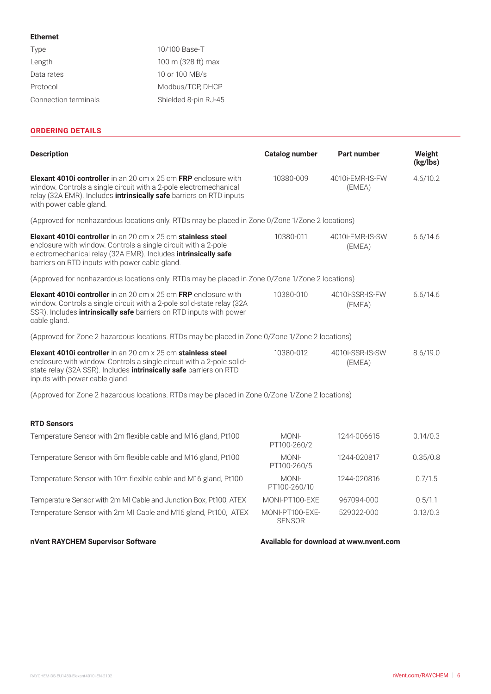#### **Ethernet**

| 10/100 Base-T        |
|----------------------|
| 100 m (328 ft) max   |
| 10 or 100 MB/s       |
| Modbus/TCP, DHCP     |
| Shielded 8-pin RJ-45 |
|                      |

#### **ORDERING DETAILS**

| <b>Description</b>                                                                                                                                                                                                                                          | <b>Catalog number</b>            | <b>Part number</b>        | Weight<br>(kg/lbs) |  |  |
|-------------------------------------------------------------------------------------------------------------------------------------------------------------------------------------------------------------------------------------------------------------|----------------------------------|---------------------------|--------------------|--|--|
| <b>Elexant 4010i controller</b> in an 20 cm x 25 cm <b>FRP</b> enclosure with<br>window. Controls a single circuit with a 2-pole electromechanical<br>relay (32A EMR). Includes <i>intrinsically safe</i> barriers on RTD inputs<br>with power cable gland. | 10380-009                        | 4010i-EMR-IS-FW<br>(EMEA) | 4.6/10.2           |  |  |
| (Approved for nonhazardous locations only. RTDs may be placed in Zone 0/Zone 1/Zone 2 locations)                                                                                                                                                            |                                  |                           |                    |  |  |
| Elexant 4010i controller in an 20 cm x 25 cm stainless steel<br>enclosure with window. Controls a single circuit with a 2-pole<br>electromechanical relay (32A EMR). Includes intrinsically safe<br>barriers on RTD inputs with power cable gland.          | 10380-011                        | 4010i-EMR-IS-SW<br>(EMEA) | 6.6/14.6           |  |  |
| (Approved for nonhazardous locations only. RTDs may be placed in Zone 0/Zone 1/Zone 2 locations)                                                                                                                                                            |                                  |                           |                    |  |  |
| <b>Elexant 4010i controller</b> in an 20 cm x 25 cm FRP enclosure with<br>window. Controls a single circuit with a 2-pole solid-state relay (32A<br>SSR). Includes <i>intrinsically safe</i> barriers on RTD inputs with power<br>cable gland.              | 10380-010                        | 4010i-SSR-IS-FW<br>(EMEA) | 6.6/14.6           |  |  |
| (Approved for Zone 2 hazardous locations. RTDs may be placed in Zone 0/Zone 1/Zone 2 locations)                                                                                                                                                             |                                  |                           |                    |  |  |
| Elexant 4010i controller in an 20 cm x 25 cm stainless steel<br>enclosure with window. Controls a single circuit with a 2-pole solid-<br>state relay (32A SSR). Includes <i>intrinsically safe</i> barriers on RTD<br>inputs with power cable gland.        | 10380-012                        | 4010i-SSR-IS-SW<br>(EMEA) | 8.6/19.0           |  |  |
| (Approved for Zone 2 hazardous locations. RTDs may be placed in Zone 0/Zone 1/Zone 2 locations)                                                                                                                                                             |                                  |                           |                    |  |  |
| <b>RTD Sensors</b>                                                                                                                                                                                                                                          |                                  |                           |                    |  |  |
| Temperature Sensor with 2m flexible cable and M16 gland, Pt100                                                                                                                                                                                              | MONI-<br>PT100-260/2             | 1244-006615               | 0.14/0.3           |  |  |
| Temperature Sensor with 5m flexible cable and M16 gland, Pt100                                                                                                                                                                                              | MONI-<br>PT100-260/5             | 1244-020817               | 0.35/0.8           |  |  |
| Temperature Sensor with 10m flexible cable and M16 gland, Pt100                                                                                                                                                                                             | MONI-<br>PT100-260/10            | 1244-020816               | 0.7/1.5            |  |  |
| Temperature Sensor with 2m MI Cable and Junction Box, Pt100, ATEX                                                                                                                                                                                           | MONI-PT100-EXE                   | 967094-000                | 0.5/1.1            |  |  |
| Temperature Sensor with 2m MI Cable and M16 gland, Pt100, ATEX                                                                                                                                                                                              | MONI-PT100-EXE-<br><b>SENSOR</b> | 529022-000                | 0.13/0.3           |  |  |

#### nVent RAYCHEM Supervisor Software **Available for download at www.nvent.com**